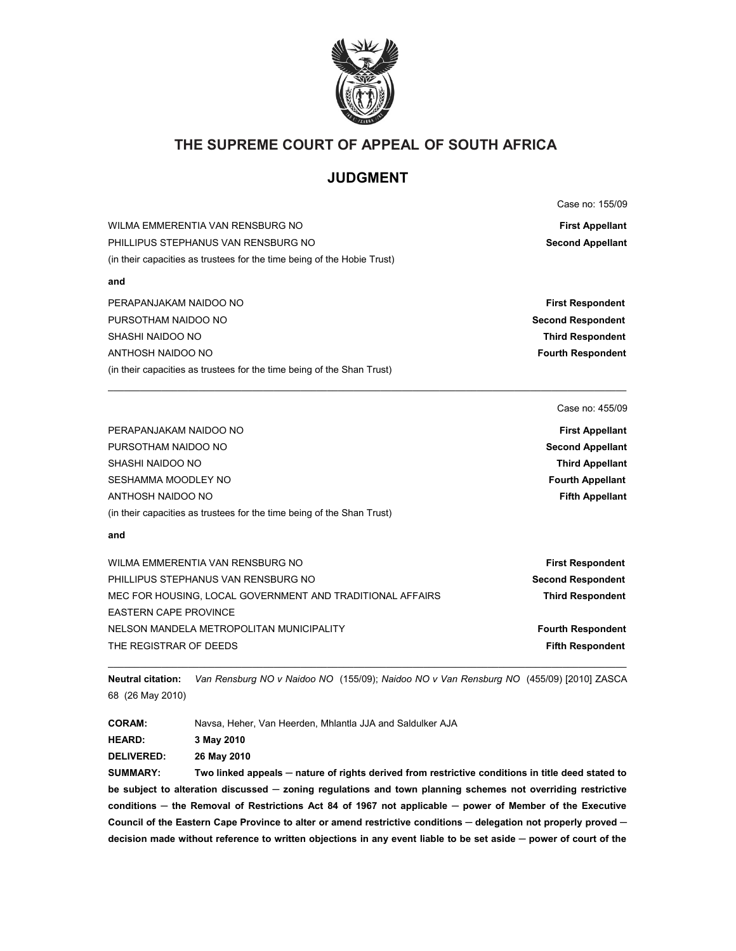

## **THE SUPREME COURT OF APPEAL OF SOUTH AFRICA**

# **JUDGMENT**

Case no: 155/09

| WILMA EMMERENTIA VAN RENSBURG NO                                        | <b>First Appellant</b>  |
|-------------------------------------------------------------------------|-------------------------|
| PHILLIPUS STEPHANUS VAN RENSBURG NO                                     | <b>Second Appellant</b> |
| (in their capacities as trustees for the time being of the Hobie Trust) |                         |
| and                                                                     |                         |

| PERAPANJAKAM NAIDOO NO                                                 | <b>First Respondent</b>  |
|------------------------------------------------------------------------|--------------------------|
| PURSOTHAM NAIDOO NO                                                    | <b>Second Respondent</b> |
| SHASHI NAIDOO NO                                                       | <b>Third Respondent</b>  |
| ANTHOSH NAIDOO NO                                                      | <b>Fourth Respondent</b> |
| (in their capacities as trustees for the time being of the Shan Trust) |                          |

\_\_\_\_\_\_\_\_\_\_\_\_\_\_\_\_\_\_\_\_\_\_\_\_\_\_\_\_\_\_\_\_\_\_\_\_\_\_\_\_\_\_\_\_\_\_\_\_\_\_\_\_\_\_\_\_\_\_\_\_\_\_\_\_\_\_\_\_\_\_\_\_\_\_\_\_\_\_\_\_\_\_\_\_\_\_\_\_\_\_\_\_\_\_\_\_\_

#### Case no: 455/09

| PERAPANJAKAM NAIDOO NO                                                 | <b>First Appellant</b>  |
|------------------------------------------------------------------------|-------------------------|
| PURSOTHAM NAIDOO NO                                                    | <b>Second Appellant</b> |
| SHASHI NAIDOO NO                                                       | <b>Third Appellant</b>  |
| SESHAMMA MOODLEY NO                                                    | <b>Fourth Appellant</b> |
| ANTHOSH NAIDOO NO                                                      | <b>Fifth Appellant</b>  |
| (in their capacities as trustees for the time being of the Shan Trust) |                         |
|                                                                        |                         |

#### **and**

| <b>First Respondent</b>  |
|--------------------------|
| <b>Second Respondent</b> |
| <b>Third Respondent</b>  |
|                          |
| <b>Fourth Respondent</b> |
| <b>Fifth Respondent</b>  |
|                          |

 $\mathcal{L}_\mathcal{L} = \{ \mathcal{L}_\mathcal{L} = \{ \mathcal{L}_\mathcal{L} = \{ \mathcal{L}_\mathcal{L} = \{ \mathcal{L}_\mathcal{L} = \{ \mathcal{L}_\mathcal{L} = \{ \mathcal{L}_\mathcal{L} = \{ \mathcal{L}_\mathcal{L} = \{ \mathcal{L}_\mathcal{L} = \{ \mathcal{L}_\mathcal{L} = \{ \mathcal{L}_\mathcal{L} = \{ \mathcal{L}_\mathcal{L} = \{ \mathcal{L}_\mathcal{L} = \{ \mathcal{L}_\mathcal{L} = \{ \mathcal{L}_\mathcal{$ **Neutral citation:** *Van Rensburg NO v Naidoo NO* (155/09); *Naidoo NO v Van Rensburg NO* (455/09) [2010] ZASCA 68 (26 May 2010)

**CORAM:** Navsa, Heher, Van Heerden, Mhlantla JJA and Saldulker AJA

**HEARD: 3 May 2010**

**DELIVERED: 26 May 2010**

**SUMMARY: Two linked appeals ─ nature of rights derived from restrictive conditions in title deed stated to be subject to alteration discussed ─ zoning regulations and town planning schemes not overriding restrictive conditions ─ the Removal of Restrictions Act 84 of 1967 not applicable ─ power of Member of the Executive Council of the Eastern Cape Province to alter or amend restrictive conditions ─ delegation not properly proved ─ decision made without reference to written objections in any event liable to be set aside ─ power of court of the**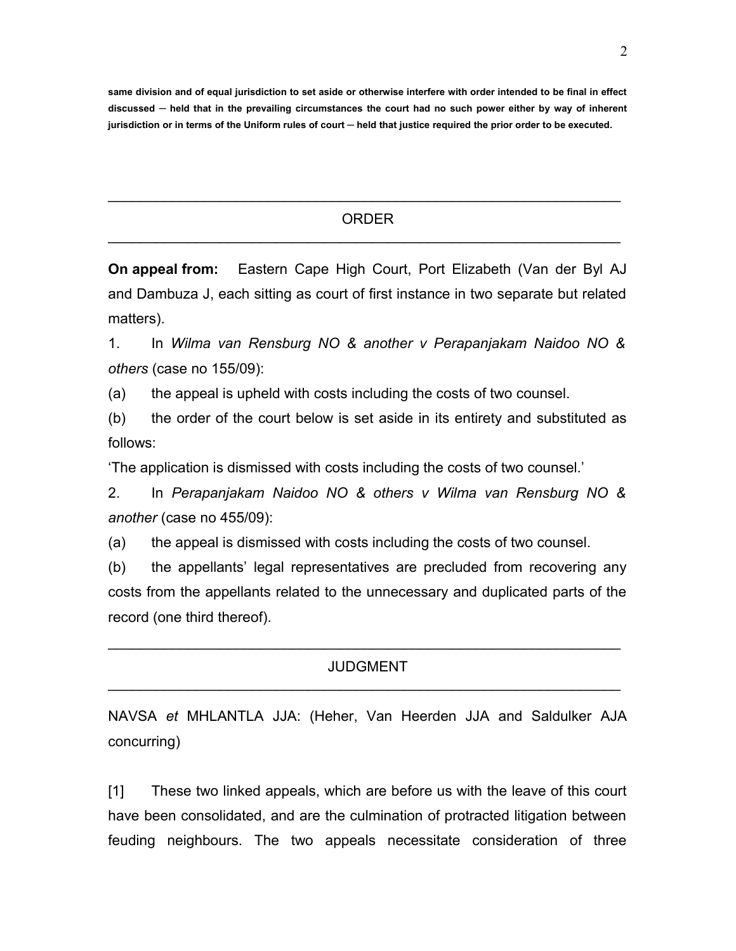**same division and of equal jurisdiction to set aside or otherwise interfere with order intended to be final in effect discussed ─ held that in the prevailing circumstances the court had no such power either by way of inherent jurisdiction or in terms of the Uniform rules of court ─ held that justice required the prior order to be executed.**

## ORDER  $\mathcal{L}_\text{max} = \mathcal{L}_\text{max} = \mathcal{L}_\text{max} = \mathcal{L}_\text{max} = \mathcal{L}_\text{max} = \mathcal{L}_\text{max} = \mathcal{L}_\text{max} = \mathcal{L}_\text{max} = \mathcal{L}_\text{max} = \mathcal{L}_\text{max} = \mathcal{L}_\text{max} = \mathcal{L}_\text{max} = \mathcal{L}_\text{max} = \mathcal{L}_\text{max} = \mathcal{L}_\text{max} = \mathcal{L}_\text{max} = \mathcal{L}_\text{max} = \mathcal{L}_\text{max} = \mathcal{$

 $\mathcal{L}_\text{max} = \mathcal{L}_\text{max} = \mathcal{L}_\text{max} = \mathcal{L}_\text{max} = \mathcal{L}_\text{max} = \mathcal{L}_\text{max} = \mathcal{L}_\text{max} = \mathcal{L}_\text{max} = \mathcal{L}_\text{max} = \mathcal{L}_\text{max} = \mathcal{L}_\text{max} = \mathcal{L}_\text{max} = \mathcal{L}_\text{max} = \mathcal{L}_\text{max} = \mathcal{L}_\text{max} = \mathcal{L}_\text{max} = \mathcal{L}_\text{max} = \mathcal{L}_\text{max} = \mathcal{$ 

**On appeal from:** Eastern Cape High Court, Port Elizabeth (Van der Byl AJ and Dambuza J, each sitting as court of first instance in two separate but related matters).

1. In *Wilma van Rensburg NO & another v Perapanjakam Naidoo NO & others* (case no 155/09):

(a) the appeal is upheld with costs including the costs of two counsel.

(b) the order of the court below is set aside in its entirety and substituted as follows:

'The application is dismissed with costs including the costs of two counsel.'

2. In *Perapanjakam Naidoo NO & others v Wilma van Rensburg NO & another* (case no 455/09):

(a) the appeal is dismissed with costs including the costs of two counsel.

(b) the appellants' legal representatives are precluded from recovering any costs from the appellants related to the unnecessary and duplicated parts of the record (one third thereof).

### JUDGMENT  $\mathcal{L}_\text{max} = \mathcal{L}_\text{max} = \mathcal{L}_\text{max} = \mathcal{L}_\text{max} = \mathcal{L}_\text{max} = \mathcal{L}_\text{max} = \mathcal{L}_\text{max} = \mathcal{L}_\text{max} = \mathcal{L}_\text{max} = \mathcal{L}_\text{max} = \mathcal{L}_\text{max} = \mathcal{L}_\text{max} = \mathcal{L}_\text{max} = \mathcal{L}_\text{max} = \mathcal{L}_\text{max} = \mathcal{L}_\text{max} = \mathcal{L}_\text{max} = \mathcal{L}_\text{max} = \mathcal{$

 $\mathcal{L}_\text{max} = \mathcal{L}_\text{max} = \mathcal{L}_\text{max} = \mathcal{L}_\text{max} = \mathcal{L}_\text{max} = \mathcal{L}_\text{max} = \mathcal{L}_\text{max} = \mathcal{L}_\text{max} = \mathcal{L}_\text{max} = \mathcal{L}_\text{max} = \mathcal{L}_\text{max} = \mathcal{L}_\text{max} = \mathcal{L}_\text{max} = \mathcal{L}_\text{max} = \mathcal{L}_\text{max} = \mathcal{L}_\text{max} = \mathcal{L}_\text{max} = \mathcal{L}_\text{max} = \mathcal{$ 

NAVSA *et* MHLANTLA JJA: (Heher, Van Heerden JJA and Saldulker AJA concurring)

[1] These two linked appeals, which are before us with the leave of this court have been consolidated, and are the culmination of protracted litigation between feuding neighbours. The two appeals necessitate consideration of three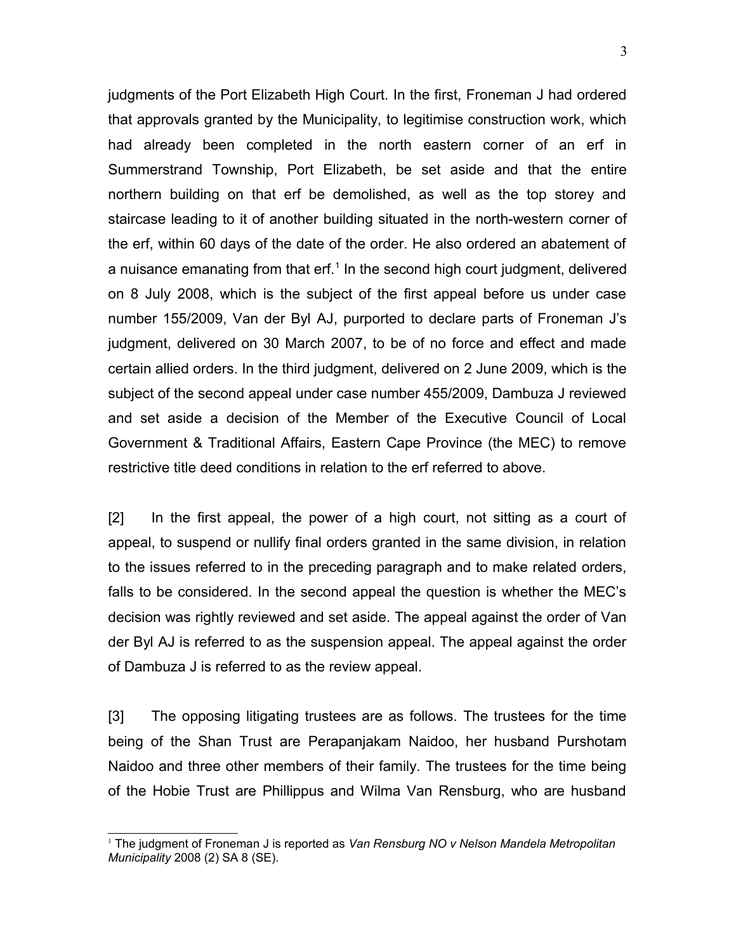judgments of the Port Elizabeth High Court. In the first, Froneman J had ordered that approvals granted by the Municipality, to legitimise construction work, which had already been completed in the north eastern corner of an erf in Summerstrand Township, Port Elizabeth, be set aside and that the entire northern building on that erf be demolished, as well as the top storey and staircase leading to it of another building situated in the north-western corner of the erf, within 60 days of the date of the order. He also ordered an abatement of a nuisance emanating from that erf. $1$  In the second high court judgment, delivered on 8 July 2008, which is the subject of the first appeal before us under case number 155/2009, Van der Byl AJ, purported to declare parts of Froneman J's judgment, delivered on 30 March 2007, to be of no force and effect and made certain allied orders. In the third judgment, delivered on 2 June 2009, which is the subject of the second appeal under case number 455/2009, Dambuza J reviewed and set aside a decision of the Member of the Executive Council of Local Government & Traditional Affairs, Eastern Cape Province (the MEC) to remove restrictive title deed conditions in relation to the erf referred to above.

[2] In the first appeal, the power of a high court, not sitting as a court of appeal, to suspend or nullify final orders granted in the same division, in relation to the issues referred to in the preceding paragraph and to make related orders, falls to be considered. In the second appeal the question is whether the MEC's decision was rightly reviewed and set aside. The appeal against the order of Van der Byl AJ is referred to as the suspension appeal. The appeal against the order of Dambuza J is referred to as the review appeal.

[3] The opposing litigating trustees are as follows. The trustees for the time being of the Shan Trust are Perapanjakam Naidoo, her husband Purshotam Naidoo and three other members of their family. The trustees for the time being of the Hobie Trust are Phillippus and Wilma Van Rensburg, who are husband

<span id="page-2-0"></span><sup>1</sup> The judgment of Froneman J is reported as *Van Rensburg NO v Nelson Mandela Metropolitan Municipality* 2008 (2) SA 8 (SE).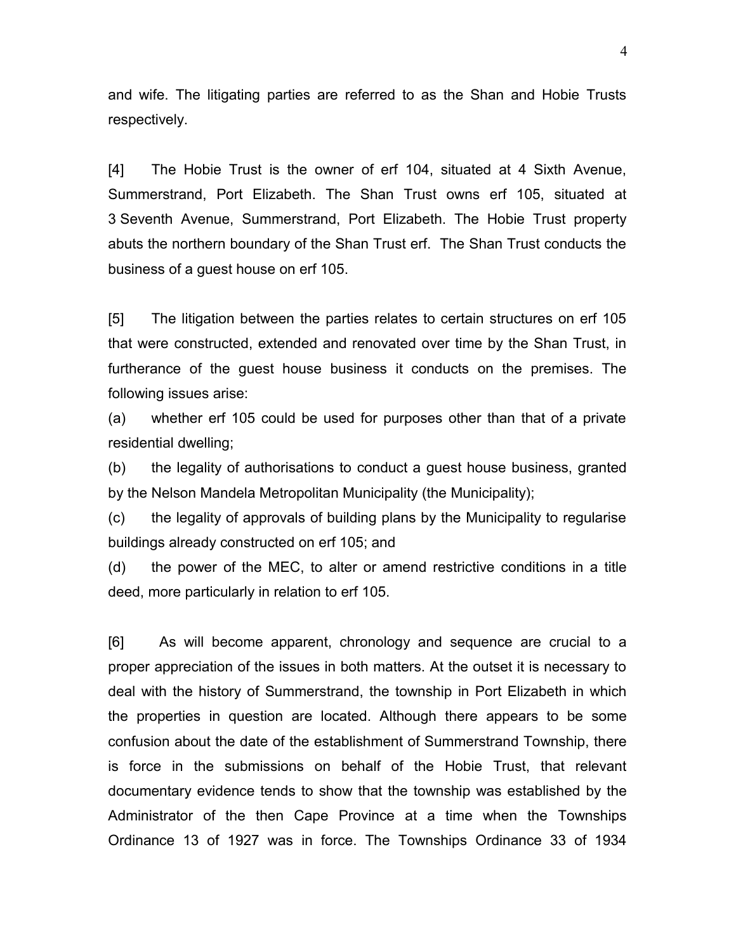and wife. The litigating parties are referred to as the Shan and Hobie Trusts respectively.

[4] The Hobie Trust is the owner of erf 104, situated at 4 Sixth Avenue, Summerstrand, Port Elizabeth. The Shan Trust owns erf 105, situated at 3 Seventh Avenue, Summerstrand, Port Elizabeth. The Hobie Trust property abuts the northern boundary of the Shan Trust erf. The Shan Trust conducts the business of a guest house on erf 105.

[5] The litigation between the parties relates to certain structures on erf 105 that were constructed, extended and renovated over time by the Shan Trust, in furtherance of the guest house business it conducts on the premises. The following issues arise:

(a) whether erf 105 could be used for purposes other than that of a private residential dwelling;

(b) the legality of authorisations to conduct a guest house business, granted by the Nelson Mandela Metropolitan Municipality (the Municipality);

(c) the legality of approvals of building plans by the Municipality to regularise buildings already constructed on erf 105; and

(d) the power of the MEC, to alter or amend restrictive conditions in a title deed, more particularly in relation to erf 105.

[6] As will become apparent, chronology and sequence are crucial to a proper appreciation of the issues in both matters. At the outset it is necessary to deal with the history of Summerstrand, the township in Port Elizabeth in which the properties in question are located. Although there appears to be some confusion about the date of the establishment of Summerstrand Township, there is force in the submissions on behalf of the Hobie Trust, that relevant documentary evidence tends to show that the township was established by the Administrator of the then Cape Province at a time when the Townships Ordinance 13 of 1927 was in force. The Townships Ordinance 33 of 1934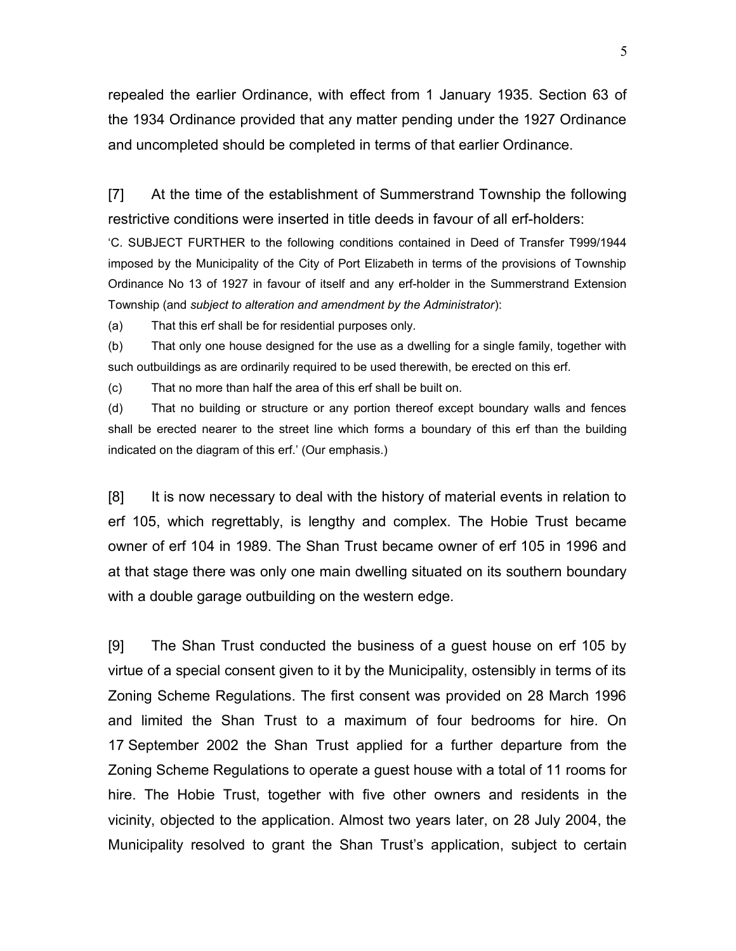repealed the earlier Ordinance, with effect from 1 January 1935. Section 63 of the 1934 Ordinance provided that any matter pending under the 1927 Ordinance and uncompleted should be completed in terms of that earlier Ordinance.

[7] At the time of the establishment of Summerstrand Township the following restrictive conditions were inserted in title deeds in favour of all erf-holders:

'C. SUBJECT FURTHER to the following conditions contained in Deed of Transfer T999/1944 imposed by the Municipality of the City of Port Elizabeth in terms of the provisions of Township Ordinance No 13 of 1927 in favour of itself and any erf-holder in the Summerstrand Extension Township (and *subject to alteration and amendment by the Administrator*):

(a) That this erf shall be for residential purposes only.

(b) That only one house designed for the use as a dwelling for a single family, together with such outbuildings as are ordinarily required to be used therewith, be erected on this erf.

(c) That no more than half the area of this erf shall be built on.

(d) That no building or structure or any portion thereof except boundary walls and fences shall be erected nearer to the street line which forms a boundary of this erf than the building indicated on the diagram of this erf.' (Our emphasis.)

[8] It is now necessary to deal with the history of material events in relation to erf 105, which regrettably, is lengthy and complex. The Hobie Trust became owner of erf 104 in 1989. The Shan Trust became owner of erf 105 in 1996 and at that stage there was only one main dwelling situated on its southern boundary with a double garage outbuilding on the western edge.

[9] The Shan Trust conducted the business of a guest house on erf 105 by virtue of a special consent given to it by the Municipality, ostensibly in terms of its Zoning Scheme Regulations. The first consent was provided on 28 March 1996 and limited the Shan Trust to a maximum of four bedrooms for hire. On 17 September 2002 the Shan Trust applied for a further departure from the Zoning Scheme Regulations to operate a guest house with a total of 11 rooms for hire. The Hobie Trust, together with five other owners and residents in the vicinity, objected to the application. Almost two years later, on 28 July 2004, the Municipality resolved to grant the Shan Trust's application, subject to certain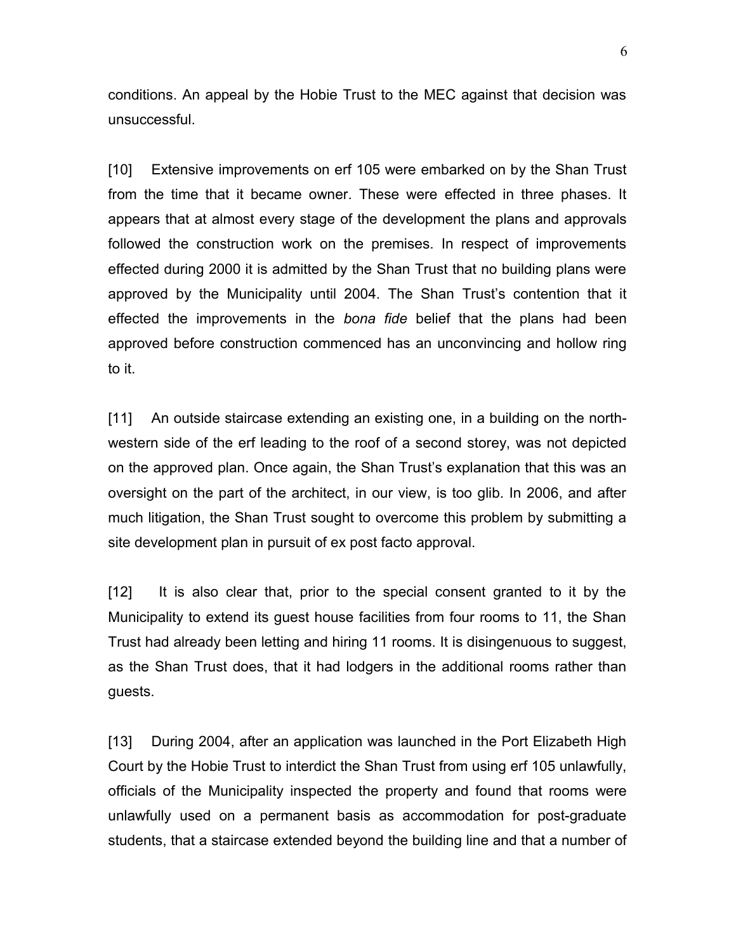conditions. An appeal by the Hobie Trust to the MEC against that decision was unsuccessful.

[10] Extensive improvements on erf 105 were embarked on by the Shan Trust from the time that it became owner. These were effected in three phases. It appears that at almost every stage of the development the plans and approvals followed the construction work on the premises. In respect of improvements effected during 2000 it is admitted by the Shan Trust that no building plans were approved by the Municipality until 2004. The Shan Trust's contention that it effected the improvements in the *bona fide* belief that the plans had been approved before construction commenced has an unconvincing and hollow ring to it.

[11] An outside staircase extending an existing one, in a building on the northwestern side of the erf leading to the roof of a second storey, was not depicted on the approved plan. Once again, the Shan Trust's explanation that this was an oversight on the part of the architect, in our view, is too glib. In 2006, and after much litigation, the Shan Trust sought to overcome this problem by submitting a site development plan in pursuit of ex post facto approval.

[12] It is also clear that, prior to the special consent granted to it by the Municipality to extend its guest house facilities from four rooms to 11, the Shan Trust had already been letting and hiring 11 rooms. It is disingenuous to suggest, as the Shan Trust does, that it had lodgers in the additional rooms rather than guests.

[13] During 2004, after an application was launched in the Port Elizabeth High Court by the Hobie Trust to interdict the Shan Trust from using erf 105 unlawfully, officials of the Municipality inspected the property and found that rooms were unlawfully used on a permanent basis as accommodation for post-graduate students, that a staircase extended beyond the building line and that a number of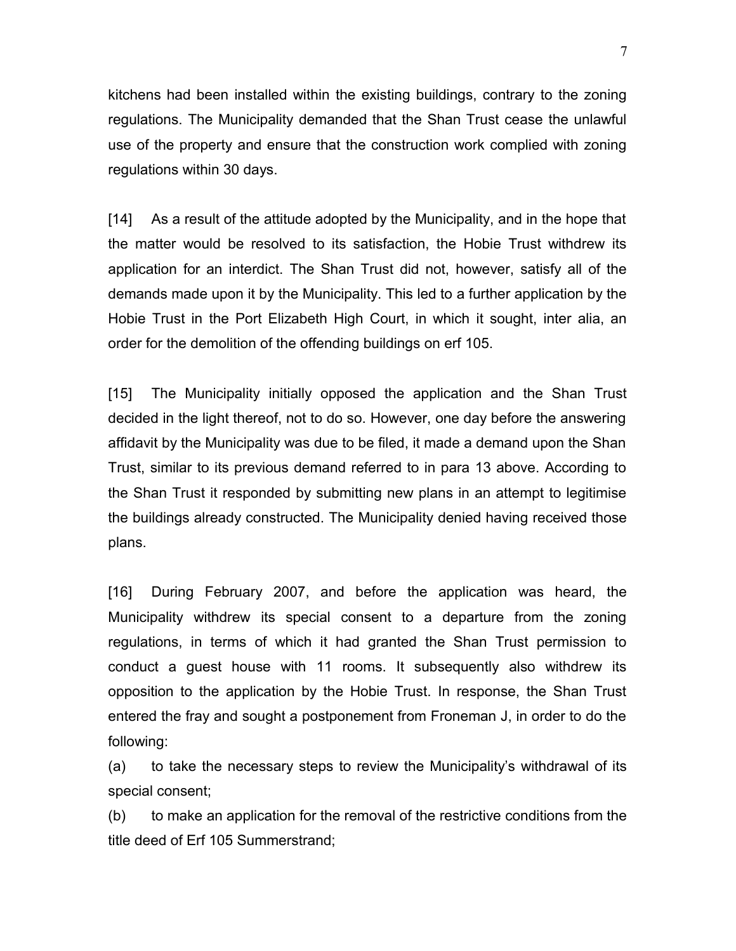kitchens had been installed within the existing buildings, contrary to the zoning regulations. The Municipality demanded that the Shan Trust cease the unlawful use of the property and ensure that the construction work complied with zoning regulations within 30 days.

[14] As a result of the attitude adopted by the Municipality, and in the hope that the matter would be resolved to its satisfaction, the Hobie Trust withdrew its application for an interdict. The Shan Trust did not, however, satisfy all of the demands made upon it by the Municipality. This led to a further application by the Hobie Trust in the Port Elizabeth High Court, in which it sought, inter alia, an order for the demolition of the offending buildings on erf 105.

[15] The Municipality initially opposed the application and the Shan Trust decided in the light thereof, not to do so. However, one day before the answering affidavit by the Municipality was due to be filed, it made a demand upon the Shan Trust, similar to its previous demand referred to in para 13 above. According to the Shan Trust it responded by submitting new plans in an attempt to legitimise the buildings already constructed. The Municipality denied having received those plans.

[16] During February 2007, and before the application was heard, the Municipality withdrew its special consent to a departure from the zoning regulations, in terms of which it had granted the Shan Trust permission to conduct a guest house with 11 rooms. It subsequently also withdrew its opposition to the application by the Hobie Trust. In response, the Shan Trust entered the fray and sought a postponement from Froneman J, in order to do the following:

(a) to take the necessary steps to review the Municipality's withdrawal of its special consent;

(b) to make an application for the removal of the restrictive conditions from the title deed of Erf 105 Summerstrand;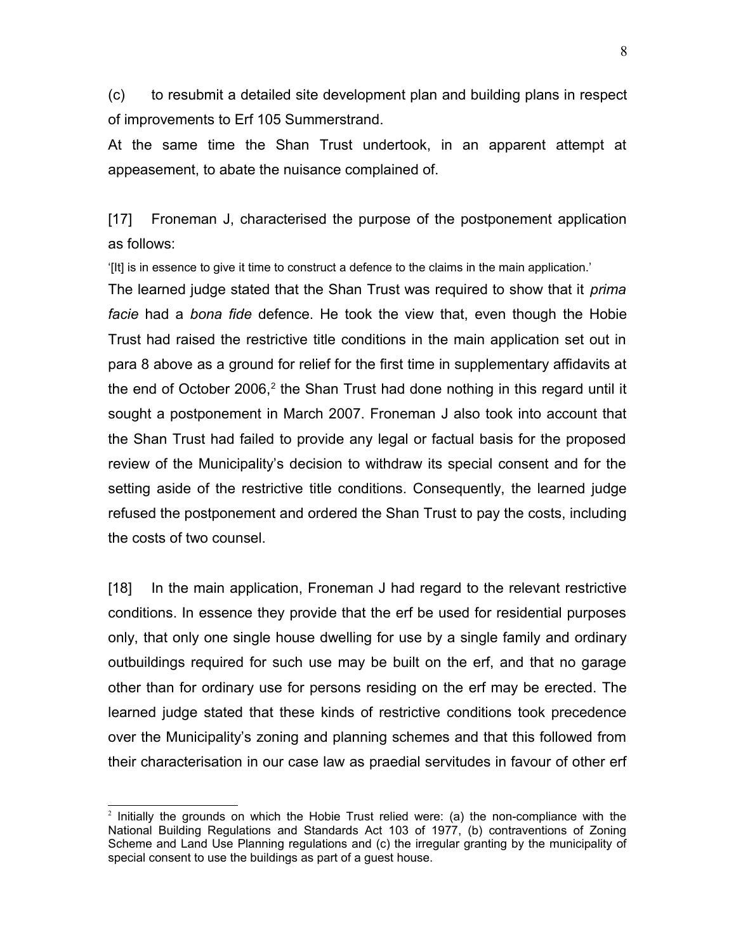(c) to resubmit a detailed site development plan and building plans in respect of improvements to Erf 105 Summerstrand.

At the same time the Shan Trust undertook, in an apparent attempt at appeasement, to abate the nuisance complained of.

[17] Froneman J, characterised the purpose of the postponement application as follows:

'[It] is in essence to give it time to construct a defence to the claims in the main application.'

The learned judge stated that the Shan Trust was required to show that it *prima facie* had a *bona fide* defence. He took the view that, even though the Hobie Trust had raised the restrictive title conditions in the main application set out in para 8 above as a ground for relief for the first time in supplementary affidavits at the end of October [2](#page-7-0)006,<sup>2</sup> the Shan Trust had done nothing in this regard until it sought a postponement in March 2007. Froneman J also took into account that the Shan Trust had failed to provide any legal or factual basis for the proposed review of the Municipality's decision to withdraw its special consent and for the setting aside of the restrictive title conditions. Consequently, the learned judge refused the postponement and ordered the Shan Trust to pay the costs, including the costs of two counsel.

[18] In the main application, Froneman J had regard to the relevant restrictive conditions. In essence they provide that the erf be used for residential purposes only, that only one single house dwelling for use by a single family and ordinary outbuildings required for such use may be built on the erf, and that no garage other than for ordinary use for persons residing on the erf may be erected. The learned judge stated that these kinds of restrictive conditions took precedence over the Municipality's zoning and planning schemes and that this followed from their characterisation in our case law as praedial servitudes in favour of other erf

<span id="page-7-0"></span><sup>&</sup>lt;sup>2</sup> Initially the grounds on which the Hobie Trust relied were: (a) the non-compliance with the National Building Regulations and Standards Act 103 of 1977, (b) contraventions of Zoning Scheme and Land Use Planning regulations and (c) the irregular granting by the municipality of special consent to use the buildings as part of a guest house.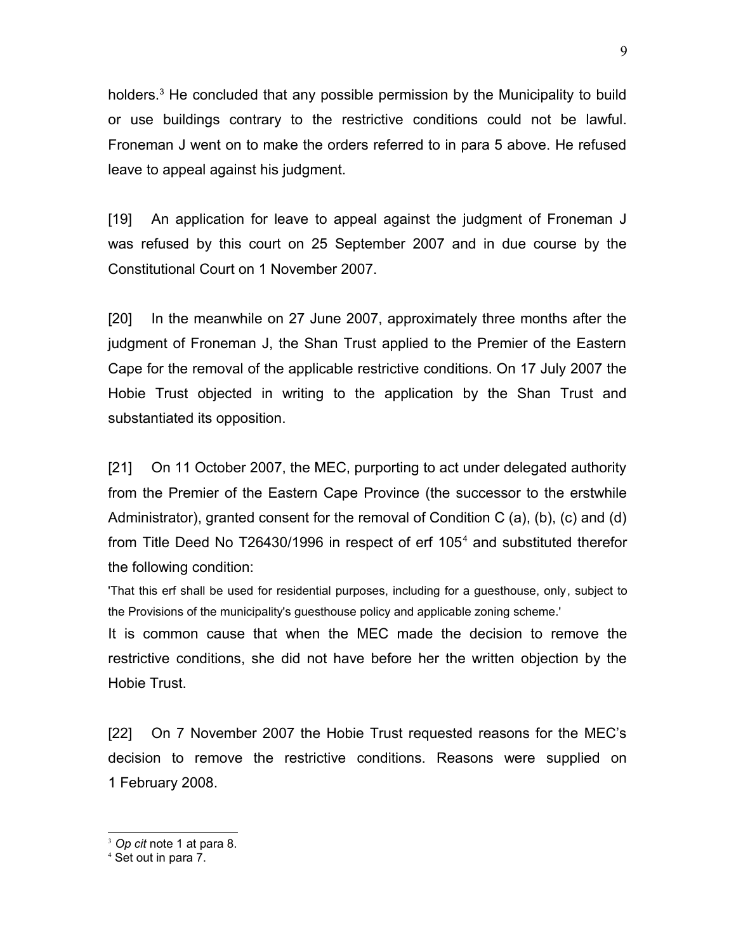holders.<sup>[3](#page-8-0)</sup> He concluded that any possible permission by the Municipality to build or use buildings contrary to the restrictive conditions could not be lawful. Froneman J went on to make the orders referred to in para 5 above. He refused leave to appeal against his judgment.

[19] An application for leave to appeal against the judgment of Froneman J was refused by this court on 25 September 2007 and in due course by the Constitutional Court on 1 November 2007.

[20] In the meanwhile on 27 June 2007, approximately three months after the judgment of Froneman J, the Shan Trust applied to the Premier of the Eastern Cape for the removal of the applicable restrictive conditions. On 17 July 2007 the Hobie Trust objected in writing to the application by the Shan Trust and substantiated its opposition.

[21] On 11 October 2007, the MEC, purporting to act under delegated authority from the Premier of the Eastern Cape Province (the successor to the erstwhile Administrator), granted consent for the removal of Condition C (a), (b), (c) and (d) from Title Deed No T26[4](#page-8-1)30/1996 in respect of erf 105<sup>4</sup> and substituted therefor the following condition:

'That this erf shall be used for residential purposes, including for a guesthouse, only, subject to the Provisions of the municipality's guesthouse policy and applicable zoning scheme.'

It is common cause that when the MEC made the decision to remove the restrictive conditions, she did not have before her the written objection by the Hobie Trust.

[22] On 7 November 2007 the Hobie Trust requested reasons for the MEC's decision to remove the restrictive conditions. Reasons were supplied on 1 February 2008.

<span id="page-8-0"></span><sup>3</sup> *Op cit* note 1 at para 8.

<span id="page-8-1"></span><sup>4</sup> Set out in para 7.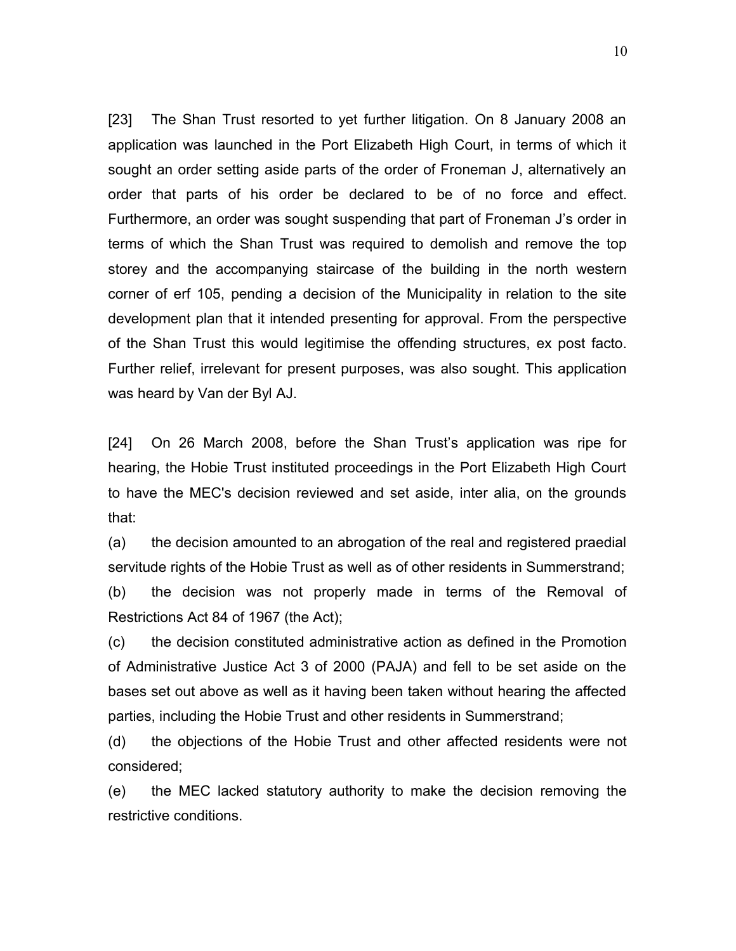[23] The Shan Trust resorted to yet further litigation. On 8 January 2008 an application was launched in the Port Elizabeth High Court, in terms of which it sought an order setting aside parts of the order of Froneman J, alternatively an order that parts of his order be declared to be of no force and effect. Furthermore, an order was sought suspending that part of Froneman J's order in terms of which the Shan Trust was required to demolish and remove the top storey and the accompanying staircase of the building in the north western corner of erf 105, pending a decision of the Municipality in relation to the site development plan that it intended presenting for approval. From the perspective of the Shan Trust this would legitimise the offending structures, ex post facto. Further relief, irrelevant for present purposes, was also sought. This application was heard by Van der Byl AJ.

[24] On 26 March 2008, before the Shan Trust's application was ripe for hearing, the Hobie Trust instituted proceedings in the Port Elizabeth High Court to have the MEC's decision reviewed and set aside, inter alia, on the grounds that:

(a) the decision amounted to an abrogation of the real and registered praedial servitude rights of the Hobie Trust as well as of other residents in Summerstrand; (b) the decision was not properly made in terms of the Removal of Restrictions Act 84 of 1967 (the Act);

(c) the decision constituted administrative action as defined in the Promotion of Administrative Justice Act 3 of 2000 (PAJA) and fell to be set aside on the bases set out above as well as it having been taken without hearing the affected parties, including the Hobie Trust and other residents in Summerstrand;

(d) the objections of the Hobie Trust and other affected residents were not considered;

(e) the MEC lacked statutory authority to make the decision removing the restrictive conditions.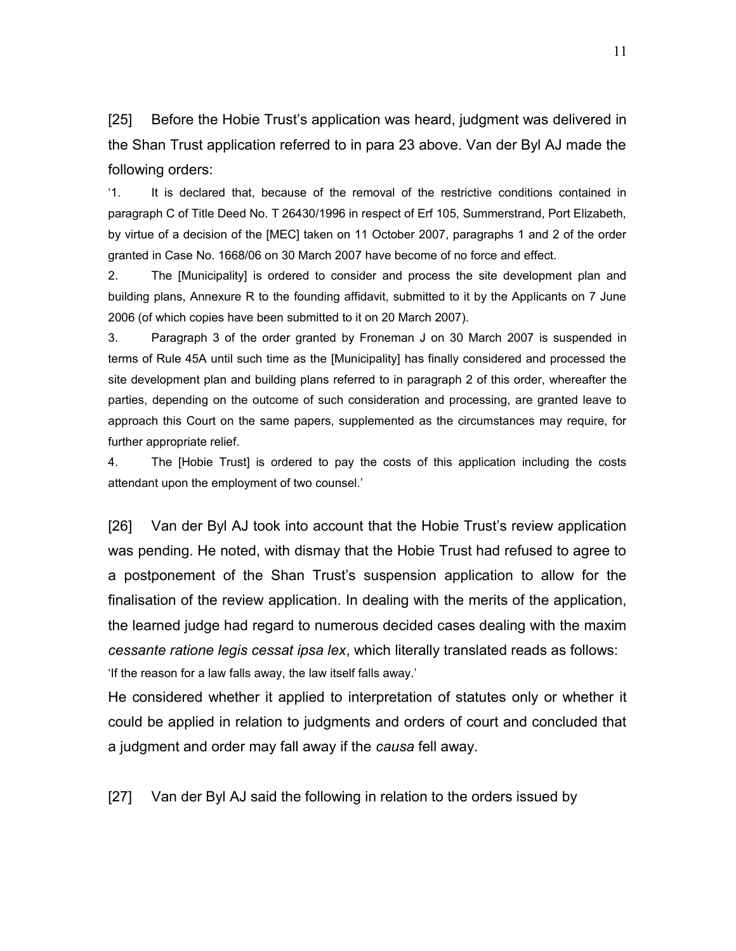[25] Before the Hobie Trust's application was heard, judgment was delivered in the Shan Trust application referred to in para 23 above. Van der Byl AJ made the following orders:

'1. It is declared that, because of the removal of the restrictive conditions contained in paragraph C of Title Deed No. T 26430/1996 in respect of Erf 105, Summerstrand, Port Elizabeth, by virtue of a decision of the [MEC] taken on 11 October 2007, paragraphs 1 and 2 of the order granted in Case No. 1668/06 on 30 March 2007 have become of no force and effect.

2. The [Municipality] is ordered to consider and process the site development plan and building plans, Annexure R to the founding affidavit, submitted to it by the Applicants on 7 June 2006 (of which copies have been submitted to it on 20 March 2007).

3. Paragraph 3 of the order granted by Froneman J on 30 March 2007 is suspended in terms of Rule 45A until such time as the [Municipality] has finally considered and processed the site development plan and building plans referred to in paragraph 2 of this order, whereafter the parties, depending on the outcome of such consideration and processing, are granted leave to approach this Court on the same papers, supplemented as the circumstances may require, for further appropriate relief.

4. The [Hobie Trust] is ordered to pay the costs of this application including the costs attendant upon the employment of two counsel.'

[26] Van der Byl AJ took into account that the Hobie Trust's review application was pending. He noted, with dismay that the Hobie Trust had refused to agree to a postponement of the Shan Trust's suspension application to allow for the finalisation of the review application. In dealing with the merits of the application, the learned judge had regard to numerous decided cases dealing with the maxim *cessante ratione legis cessat ipsa lex*, which literally translated reads as follows: 'If the reason for a law falls away, the law itself falls away.'

He considered whether it applied to interpretation of statutes only or whether it could be applied in relation to judgments and orders of court and concluded that a judgment and order may fall away if the *causa* fell away.

[27] Van der Byl AJ said the following in relation to the orders issued by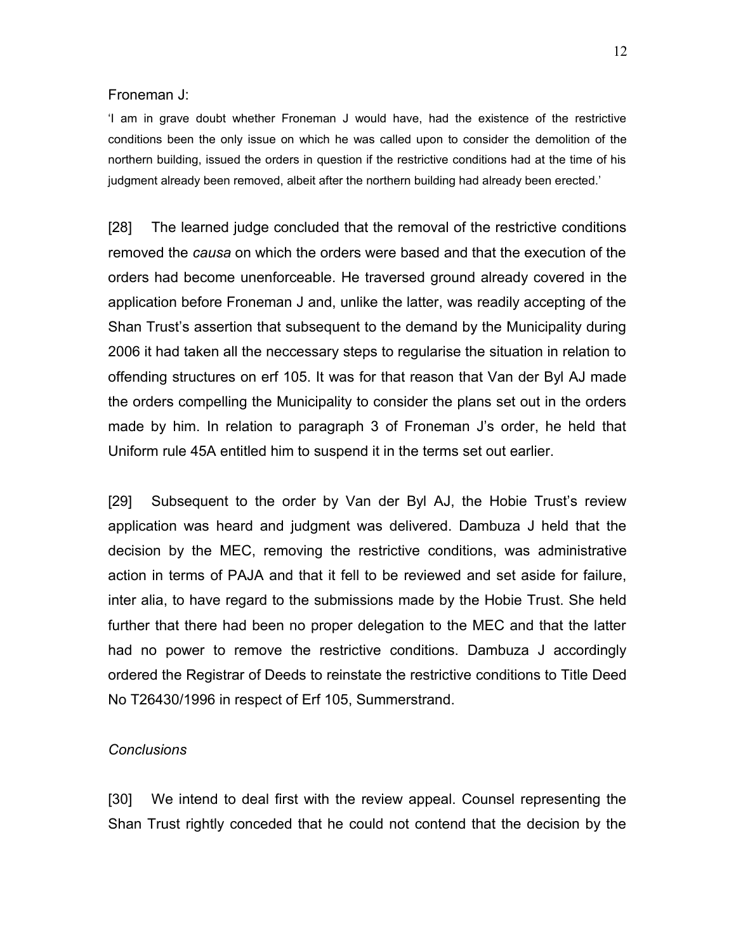### Froneman J:

'I am in grave doubt whether Froneman J would have, had the existence of the restrictive conditions been the only issue on which he was called upon to consider the demolition of the northern building, issued the orders in question if the restrictive conditions had at the time of his judgment already been removed, albeit after the northern building had already been erected.'

[28] The learned judge concluded that the removal of the restrictive conditions removed the *causa* on which the orders were based and that the execution of the orders had become unenforceable. He traversed ground already covered in the application before Froneman J and, unlike the latter, was readily accepting of the Shan Trust's assertion that subsequent to the demand by the Municipality during 2006 it had taken all the neccessary steps to regularise the situation in relation to offending structures on erf 105. It was for that reason that Van der Byl AJ made the orders compelling the Municipality to consider the plans set out in the orders made by him. In relation to paragraph 3 of Froneman J's order, he held that Uniform rule 45A entitled him to suspend it in the terms set out earlier.

[29] Subsequent to the order by Van der Byl AJ, the Hobie Trust's review application was heard and judgment was delivered. Dambuza J held that the decision by the MEC, removing the restrictive conditions, was administrative action in terms of PAJA and that it fell to be reviewed and set aside for failure, inter alia, to have regard to the submissions made by the Hobie Trust. She held further that there had been no proper delegation to the MEC and that the latter had no power to remove the restrictive conditions. Dambuza J accordingly ordered the Registrar of Deeds to reinstate the restrictive conditions to Title Deed No T26430/1996 in respect of Erf 105, Summerstrand.

### *Conclusions*

[30] We intend to deal first with the review appeal. Counsel representing the Shan Trust rightly conceded that he could not contend that the decision by the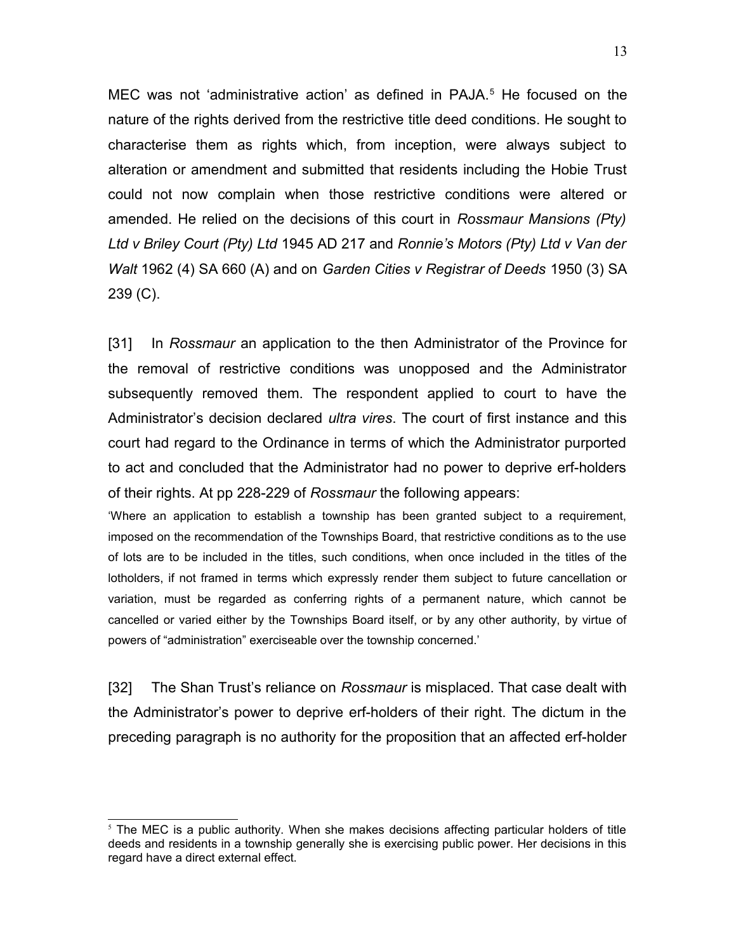MEC was not 'administrative action' as defined in PAJA.<sup>[5](#page-12-0)</sup> He focused on the nature of the rights derived from the restrictive title deed conditions. He sought to characterise them as rights which, from inception, were always subject to alteration or amendment and submitted that residents including the Hobie Trust could not now complain when those restrictive conditions were altered or amended. He relied on the decisions of this court in *Rossmaur Mansions (Pty) Ltd v Briley Court (Pty) Ltd* 1945 AD 217 and *Ronnie's Motors (Pty) Ltd v Van der Walt* 1962 (4) SA 660 (A) and on *Garden Cities v Registrar of Deeds* 1950 (3) SA 239 (C).

[31] In *Rossmaur* an application to the then Administrator of the Province for the removal of restrictive conditions was unopposed and the Administrator subsequently removed them. The respondent applied to court to have the Administrator's decision declared *ultra vires*. The court of first instance and this court had regard to the Ordinance in terms of which the Administrator purported to act and concluded that the Administrator had no power to deprive erf-holders of their rights. At pp 228-229 of *Rossmaur* the following appears:

'Where an application to establish a township has been granted subject to a requirement, imposed on the recommendation of the Townships Board, that restrictive conditions as to the use of lots are to be included in the titles, such conditions, when once included in the titles of the lotholders, if not framed in terms which expressly render them subject to future cancellation or variation, must be regarded as conferring rights of a permanent nature, which cannot be cancelled or varied either by the Townships Board itself, or by any other authority, by virtue of powers of "administration" exerciseable over the township concerned.'

[32] The Shan Trust's reliance on *Rossmaur* is misplaced. That case dealt with the Administrator's power to deprive erf-holders of their right. The dictum in the preceding paragraph is no authority for the proposition that an affected erf-holder

<span id="page-12-0"></span> $<sup>5</sup>$  The MEC is a public authority. When she makes decisions affecting particular holders of title</sup> deeds and residents in a township generally she is exercising public power. Her decisions in this regard have a direct external effect.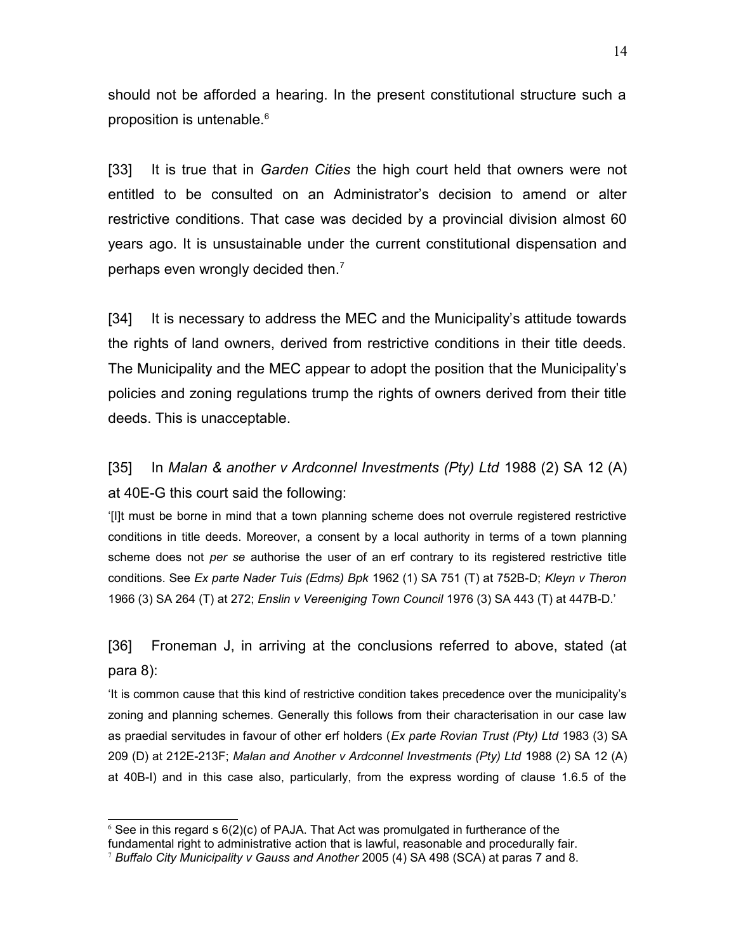should not be afforded a hearing. In the present constitutional structure such a proposition is untenable.<sup>[6](#page-13-0)</sup>

[33] It is true that in *Garden Cities* the high court held that owners were not entitled to be consulted on an Administrator's decision to amend or alter restrictive conditions. That case was decided by a provincial division almost 60 years ago. It is unsustainable under the current constitutional dispensation and perhaps even wrongly decided then.<sup>[7](#page-13-1)</sup>

[34] It is necessary to address the MEC and the Municipality's attitude towards the rights of land owners, derived from restrictive conditions in their title deeds. The Municipality and the MEC appear to adopt the position that the Municipality's policies and zoning regulations trump the rights of owners derived from their title deeds. This is unacceptable.

[35] In *Malan & another v Ardconnel Investments (Pty) Ltd* 1988 (2) SA 12 (A) at 40E-G this court said the following:

'[I]t must be borne in mind that a town planning scheme does not overrule registered restrictive conditions in title deeds. Moreover, a consent by a local authority in terms of a town planning scheme does not *per se* authorise the user of an erf contrary to its registered restrictive title conditions. See *Ex parte Nader Tuis (Edms) Bpk* 1962 (1) SA 751 (T) at 752B-D; *Kleyn v Theron* 1966 (3) SA 264 (T) at 272; *Enslin v Vereeniging Town Council* 1976 (3) SA 443 (T) at 447B-D.'

[36] Froneman J, in arriving at the conclusions referred to above, stated (at para 8):

'It is common cause that this kind of restrictive condition takes precedence over the municipality's zoning and planning schemes. Generally this follows from their characterisation in our case law as praedial servitudes in favour of other erf holders (*Ex parte Rovian Trust (Pty) Ltd* 1983 (3) SA 209 (D) at 212E-213F; *Malan and Another v Ardconnel Investments (Pty) Ltd* 1988 (2) SA 12 (A) at 40B-I) and in this case also, particularly, from the express wording of clause 1.6.5 of the

<span id="page-13-0"></span> $6$  See in this regard s  $6(2)(c)$  of PAJA. That Act was promulgated in furtherance of the

fundamental right to administrative action that is lawful, reasonable and procedurally fair.

<span id="page-13-1"></span><sup>7</sup> *Buffalo City Municipality v Gauss and Another* 2005 (4) SA 498 (SCA) at paras 7 and 8.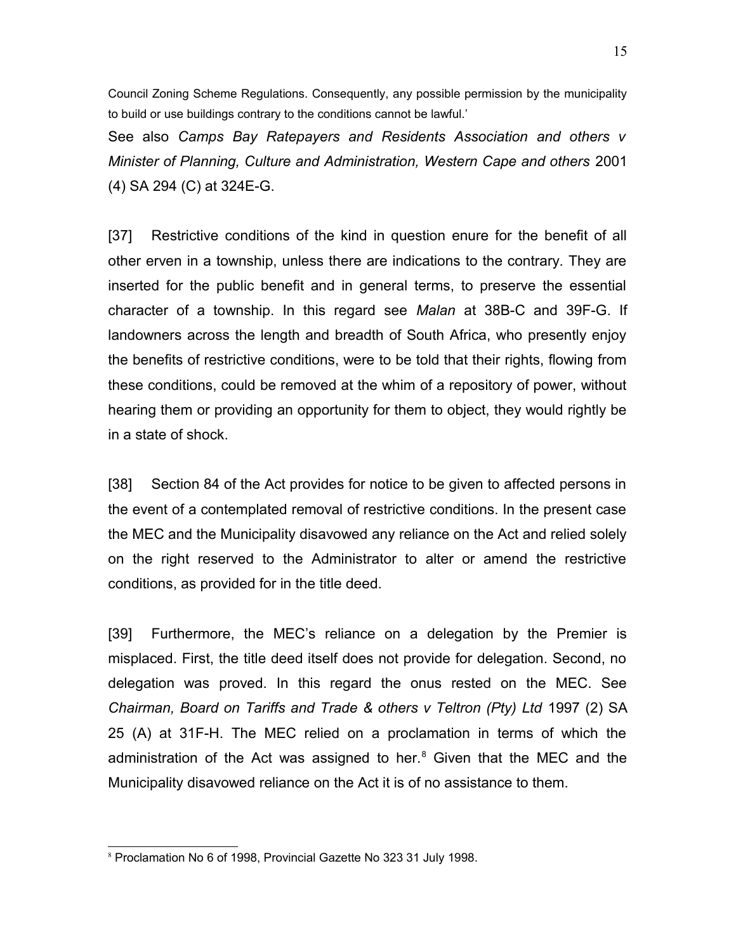Council Zoning Scheme Regulations. Consequently, any possible permission by the municipality to build or use buildings contrary to the conditions cannot be lawful.'

See also *Camps Bay Ratepayers and Residents Association and others v Minister of Planning, Culture and Administration, Western Cape and others* 2001 (4) SA 294 (C) at 324E-G.

[37] Restrictive conditions of the kind in question enure for the benefit of all other erven in a township, unless there are indications to the contrary. They are inserted for the public benefit and in general terms, to preserve the essential character of a township. In this regard see *Malan* at 38B-C and 39F-G. If landowners across the length and breadth of South Africa, who presently enjoy the benefits of restrictive conditions, were to be told that their rights, flowing from these conditions, could be removed at the whim of a repository of power, without hearing them or providing an opportunity for them to object, they would rightly be in a state of shock.

[38] Section 84 of the Act provides for notice to be given to affected persons in the event of a contemplated removal of restrictive conditions. In the present case the MEC and the Municipality disavowed any reliance on the Act and relied solely on the right reserved to the Administrator to alter or amend the restrictive conditions, as provided for in the title deed.

[39] Furthermore, the MEC's reliance on a delegation by the Premier is misplaced. First, the title deed itself does not provide for delegation. Second, no delegation was proved. In this regard the onus rested on the MEC. See *Chairman, Board on Tariffs and Trade & others v Teltron (Pty) Ltd* 1997 (2) SA 25 (A) at 31F-H. The MEC relied on a proclamation in terms of which the administration of the Act was assigned to her.<sup>[8](#page-14-0)</sup> Given that the MEC and the Municipality disavowed reliance on the Act it is of no assistance to them.

<span id="page-14-0"></span><sup>8</sup> Proclamation No 6 of 1998, Provincial Gazette No 323 31 July 1998.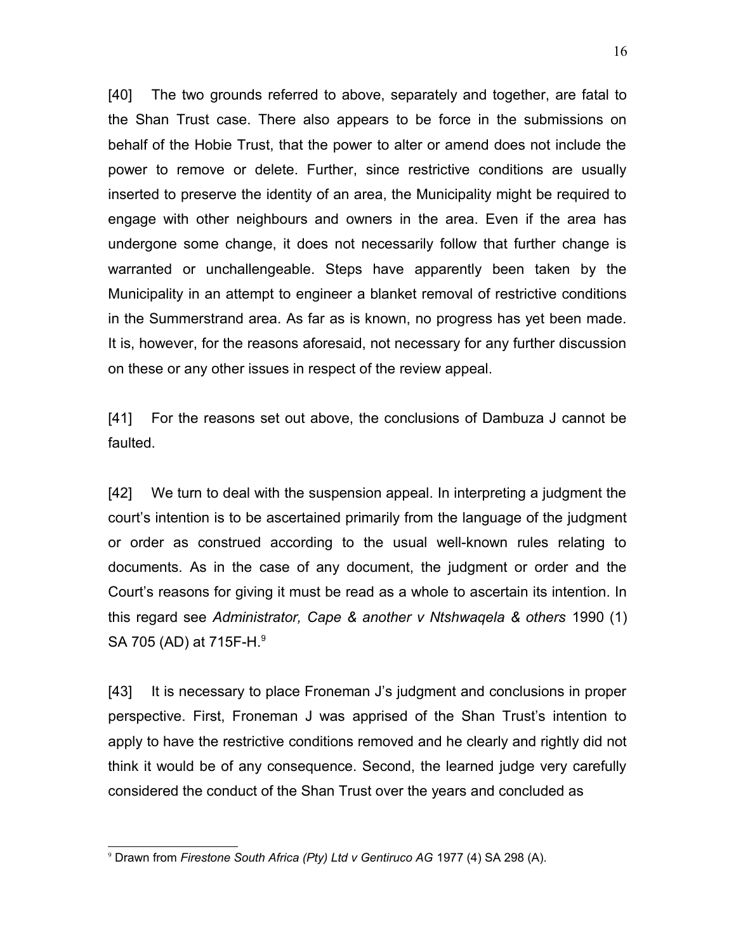[40] The two grounds referred to above, separately and together, are fatal to the Shan Trust case. There also appears to be force in the submissions on behalf of the Hobie Trust, that the power to alter or amend does not include the power to remove or delete. Further, since restrictive conditions are usually inserted to preserve the identity of an area, the Municipality might be required to engage with other neighbours and owners in the area. Even if the area has undergone some change, it does not necessarily follow that further change is warranted or unchallengeable. Steps have apparently been taken by the Municipality in an attempt to engineer a blanket removal of restrictive conditions in the Summerstrand area. As far as is known, no progress has yet been made. It is, however, for the reasons aforesaid, not necessary for any further discussion on these or any other issues in respect of the review appeal.

[41] For the reasons set out above, the conclusions of Dambuza J cannot be faulted.

[42] We turn to deal with the suspension appeal. In interpreting a judgment the court's intention is to be ascertained primarily from the language of the judgment or order as construed according to the usual well-known rules relating to documents. As in the case of any document, the judgment or order and the Court's reasons for giving it must be read as a whole to ascertain its intention. In this regard see *Administrator, Cape & another v Ntshwaqela & others* 1990 (1) SA 705 (AD) at 715F-H.<sup>[9](#page-15-0)</sup>

[43] It is necessary to place Froneman J's judgment and conclusions in proper perspective. First, Froneman J was apprised of the Shan Trust's intention to apply to have the restrictive conditions removed and he clearly and rightly did not think it would be of any consequence. Second, the learned judge very carefully considered the conduct of the Shan Trust over the years and concluded as

<span id="page-15-0"></span><sup>9</sup> Drawn from *Firestone South Africa (Pty) Ltd v Gentiruco AG* 1977 (4) SA 298 (A).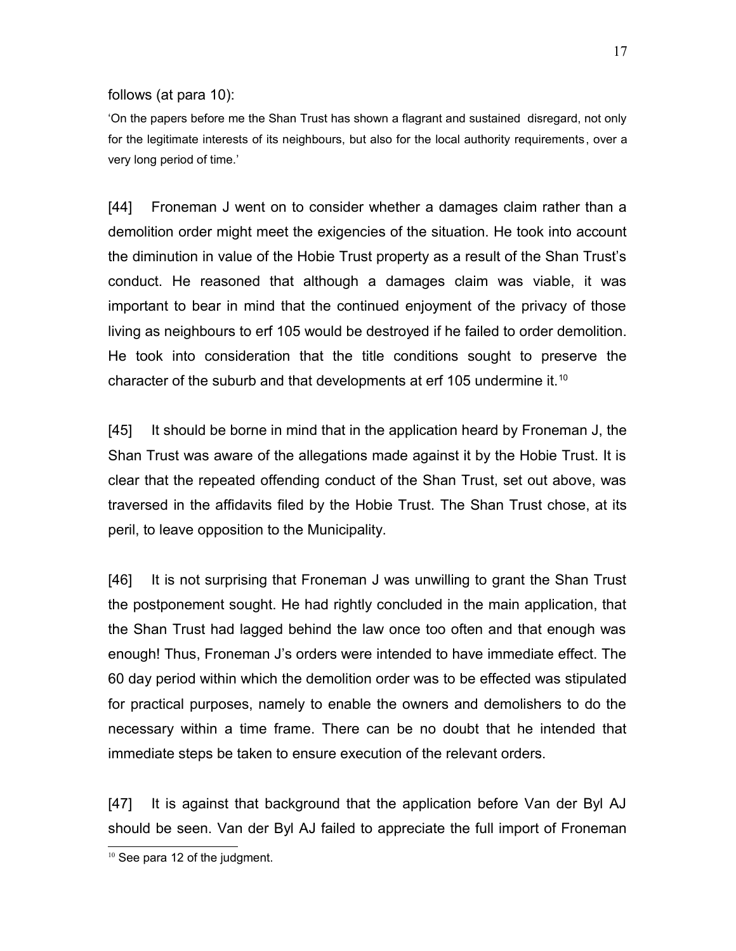follows (at para 10):

'On the papers before me the Shan Trust has shown a flagrant and sustained disregard, not only for the legitimate interests of its neighbours, but also for the local authority requirements, over a very long period of time.'

[44] Froneman J went on to consider whether a damages claim rather than a demolition order might meet the exigencies of the situation. He took into account the diminution in value of the Hobie Trust property as a result of the Shan Trust's conduct. He reasoned that although a damages claim was viable, it was important to bear in mind that the continued enjoyment of the privacy of those living as neighbours to erf 105 would be destroyed if he failed to order demolition. He took into consideration that the title conditions sought to preserve the character of the suburb and that developments at erf [10](#page-16-0)5 undermine it.<sup>10</sup>

[45] It should be borne in mind that in the application heard by Froneman J, the Shan Trust was aware of the allegations made against it by the Hobie Trust. It is clear that the repeated offending conduct of the Shan Trust, set out above, was traversed in the affidavits filed by the Hobie Trust. The Shan Trust chose, at its peril, to leave opposition to the Municipality.

[46] It is not surprising that Froneman J was unwilling to grant the Shan Trust the postponement sought. He had rightly concluded in the main application, that the Shan Trust had lagged behind the law once too often and that enough was enough! Thus, Froneman J's orders were intended to have immediate effect. The 60 day period within which the demolition order was to be effected was stipulated for practical purposes, namely to enable the owners and demolishers to do the necessary within a time frame. There can be no doubt that he intended that immediate steps be taken to ensure execution of the relevant orders.

[47] It is against that background that the application before Van der Byl AJ should be seen. Van der Byl AJ failed to appreciate the full import of Froneman

<span id="page-16-0"></span><sup>&</sup>lt;sup>10</sup> See para 12 of the judgment.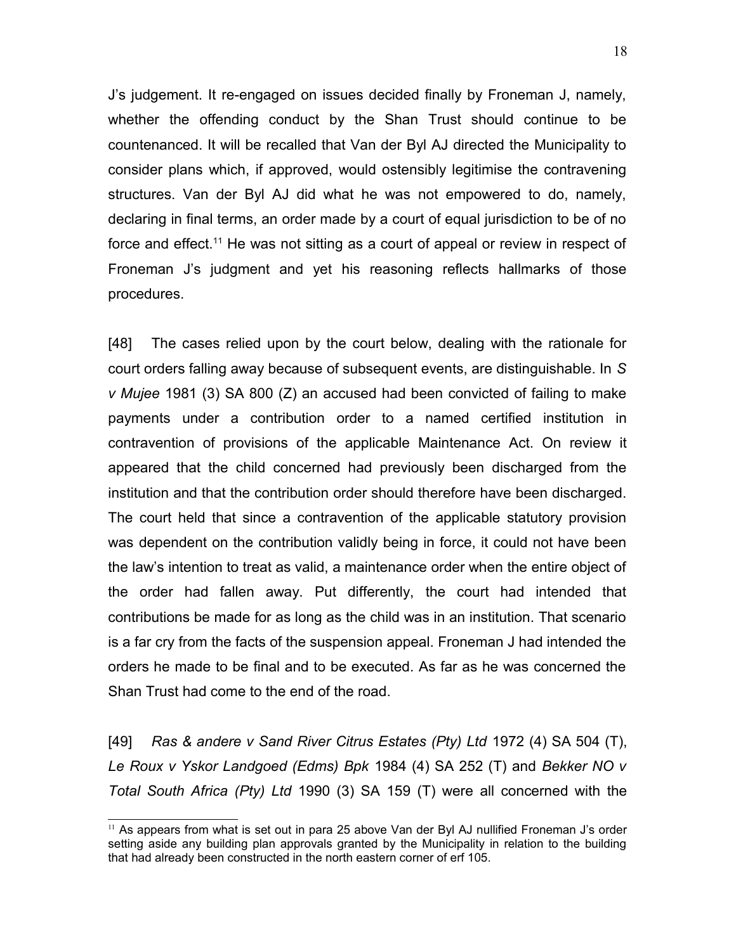J's judgement. It re-engaged on issues decided finally by Froneman J, namely, whether the offending conduct by the Shan Trust should continue to be countenanced. It will be recalled that Van der Byl AJ directed the Municipality to consider plans which, if approved, would ostensibly legitimise the contravening structures. Van der Byl AJ did what he was not empowered to do, namely, declaring in final terms, an order made by a court of equal jurisdiction to be of no force and effect.<sup>[11](#page-17-0)</sup> He was not sitting as a court of appeal or review in respect of Froneman J's judgment and yet his reasoning reflects hallmarks of those procedures.

[48] The cases relied upon by the court below, dealing with the rationale for court orders falling away because of subsequent events, are distinguishable. In *S v Mujee* 1981 (3) SA 800 (Z) an accused had been convicted of failing to make payments under a contribution order to a named certified institution in contravention of provisions of the applicable Maintenance Act. On review it appeared that the child concerned had previously been discharged from the institution and that the contribution order should therefore have been discharged. The court held that since a contravention of the applicable statutory provision was dependent on the contribution validly being in force, it could not have been the law's intention to treat as valid, a maintenance order when the entire object of the order had fallen away. Put differently, the court had intended that contributions be made for as long as the child was in an institution. That scenario is a far cry from the facts of the suspension appeal. Froneman J had intended the orders he made to be final and to be executed. As far as he was concerned the Shan Trust had come to the end of the road.

[49] *Ras & andere v Sand River Citrus Estates (Pty) Ltd* 1972 (4) SA 504 (T), *Le Roux v Yskor Landgoed (Edms) Bpk* 1984 (4) SA 252 (T) and *Bekker NO v Total South Africa (Pty) Ltd* 1990 (3) SA 159 (T) were all concerned with the

<span id="page-17-0"></span> $11$  As appears from what is set out in para 25 above Van der Byl AJ nullified Froneman J's order setting aside any building plan approvals granted by the Municipality in relation to the building that had already been constructed in the north eastern corner of erf 105.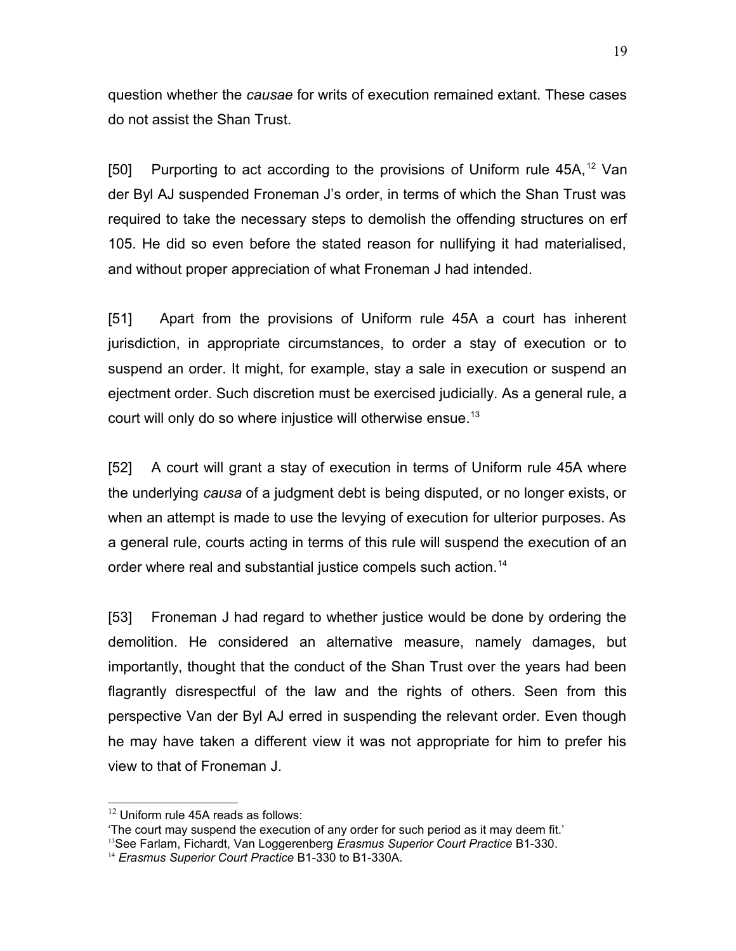question whether the *causae* for writs of execution remained extant. These cases do not assist the Shan Trust.

[50] Purporting to act according to the provisions of Uniform rule  $45A$ ,  $12$  Van der Byl AJ suspended Froneman J's order, in terms of which the Shan Trust was required to take the necessary steps to demolish the offending structures on erf 105. He did so even before the stated reason for nullifying it had materialised, and without proper appreciation of what Froneman J had intended.

[51] Apart from the provisions of Uniform rule 45A a court has inherent jurisdiction, in appropriate circumstances, to order a stay of execution or to suspend an order. It might, for example, stay a sale in execution or suspend an ejectment order. Such discretion must be exercised judicially. As a general rule, a court will only do so where injustice will otherwise ensue.<sup>[13](#page-18-1)</sup>

[52] A court will grant a stay of execution in terms of Uniform rule 45A where the underlying *causa* of a judgment debt is being disputed, or no longer exists, or when an attempt is made to use the levying of execution for ulterior purposes. As a general rule, courts acting in terms of this rule will suspend the execution of an order where real and substantial justice compels such action.<sup>[14](#page-18-2)</sup>

[53] Froneman J had regard to whether justice would be done by ordering the demolition. He considered an alternative measure, namely damages, but importantly, thought that the conduct of the Shan Trust over the years had been flagrantly disrespectful of the law and the rights of others. Seen from this perspective Van der Byl AJ erred in suspending the relevant order. Even though he may have taken a different view it was not appropriate for him to prefer his view to that of Froneman J.

<span id="page-18-0"></span> $12$  Uniform rule 45A reads as follows:

<sup>&#</sup>x27;The court may suspend the execution of any order for such period as it may deem fit.'

<span id="page-18-1"></span><sup>&</sup>lt;sup>13</sup>See Farlam, Fichardt, Van Loggerenberg *Erasmus Superior Court Practice* B1-330.

<span id="page-18-2"></span><sup>14</sup> *Erasmus Superior Court Practice* B1-330 to B1-330A.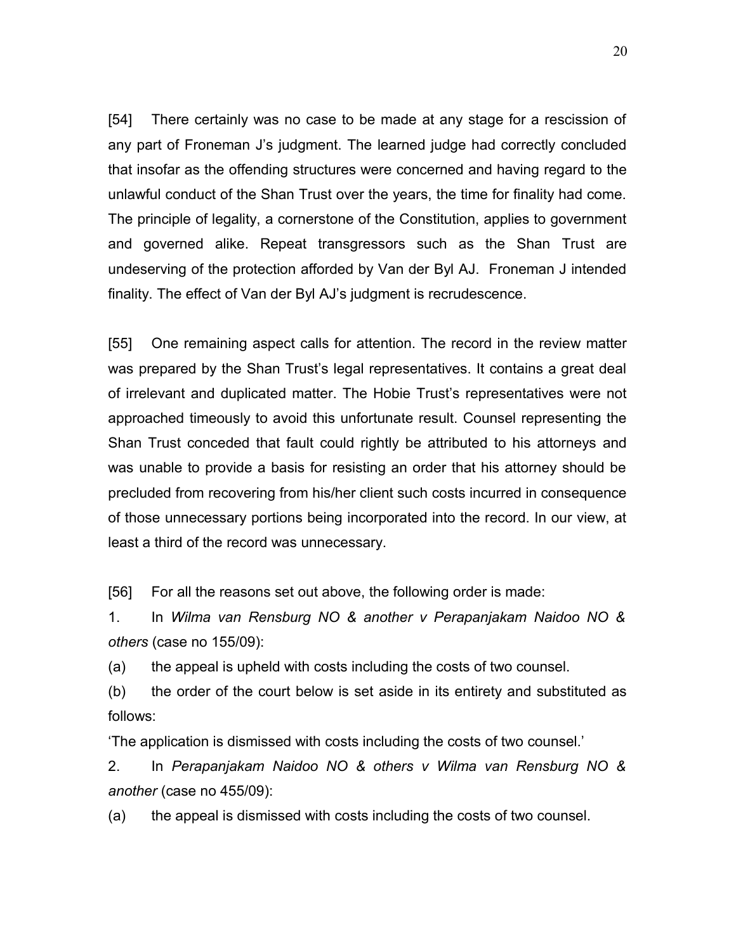[54] There certainly was no case to be made at any stage for a rescission of any part of Froneman J's judgment. The learned judge had correctly concluded that insofar as the offending structures were concerned and having regard to the unlawful conduct of the Shan Trust over the years, the time for finality had come. The principle of legality, a cornerstone of the Constitution, applies to government and governed alike. Repeat transgressors such as the Shan Trust are undeserving of the protection afforded by Van der Byl AJ. Froneman J intended finality. The effect of Van der Byl AJ's judgment is recrudescence.

[55] One remaining aspect calls for attention. The record in the review matter was prepared by the Shan Trust's legal representatives. It contains a great deal of irrelevant and duplicated matter. The Hobie Trust's representatives were not approached timeously to avoid this unfortunate result. Counsel representing the Shan Trust conceded that fault could rightly be attributed to his attorneys and was unable to provide a basis for resisting an order that his attorney should be precluded from recovering from his/her client such costs incurred in consequence of those unnecessary portions being incorporated into the record. In our view, at least a third of the record was unnecessary.

[56] For all the reasons set out above, the following order is made:

1. In *Wilma van Rensburg NO & another v Perapanjakam Naidoo NO & others* (case no 155/09):

(a) the appeal is upheld with costs including the costs of two counsel.

(b) the order of the court below is set aside in its entirety and substituted as follows:

'The application is dismissed with costs including the costs of two counsel.'

2. In *Perapanjakam Naidoo NO & others v Wilma van Rensburg NO & another* (case no 455/09):

(a) the appeal is dismissed with costs including the costs of two counsel.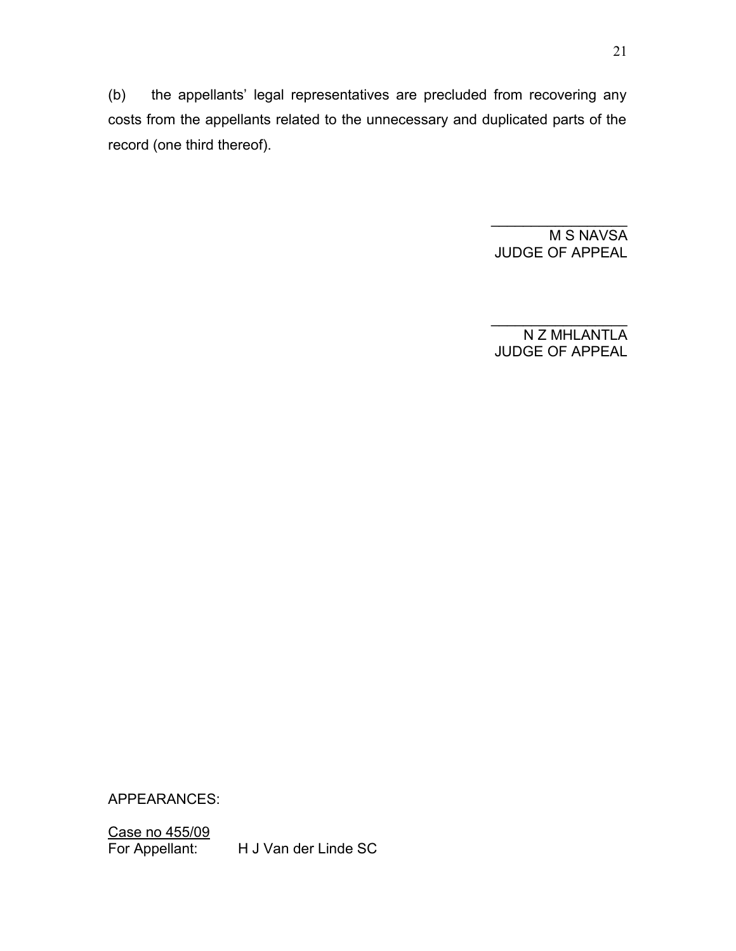(b) the appellants' legal representatives are precluded from recovering any costs from the appellants related to the unnecessary and duplicated parts of the record (one third thereof).

> M S NAVSA JUDGE OF APPEAL

 $\frac{1}{2}$  ,  $\frac{1}{2}$  ,  $\frac{1}{2}$  ,  $\frac{1}{2}$  ,  $\frac{1}{2}$  ,  $\frac{1}{2}$  ,  $\frac{1}{2}$  ,  $\frac{1}{2}$  ,  $\frac{1}{2}$  ,  $\frac{1}{2}$ 

N Z MHLANTLA JUDGE OF APPEAL

 $\mathcal{L}_\text{max}$  , we have the set of the set of the set of the set of the set of the set of the set of the set of the set of the set of the set of the set of the set of the set of the set of the set of the set of the set of

APPEARANCES:

Case no 455/09<br>For Appellant:

H J Van der Linde SC